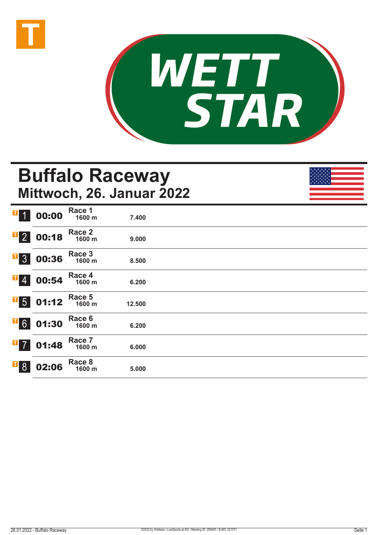



# **Buffalo Raceway Mittwoch, 26. Januar 2022**

| T<br>$\overline{\mathbf{1}}$ | 00:00 | Race 1<br>1600 m | 7.400  |  |
|------------------------------|-------|------------------|--------|--|
| $\overline{1}$ 2             | 00:18 | Race 2<br>1600 m | 9.000  |  |
| $\overline{1}$ 3             | 00:36 | Race 3<br>1600 m | 8.500  |  |
| $\mathbf{F}$ 4               | 00:54 | Race 4<br>1600 m | 6.200  |  |
| $\overline{1}$ 5             | 01:12 | Race 5<br>1600 m | 12.500 |  |
| $\overline{1}$ 6             | 01:30 | Race 6<br>1600 m | 6.200  |  |
| $\overline{1}$ 7             | 01:48 | Race 7<br>1600 m | 6.000  |  |
| $\overline{\phantom{0}}$ 8   | 02:06 | Race 8<br>1600 m | 5.000  |  |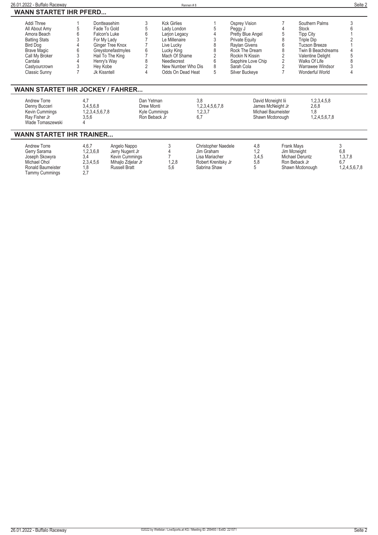| Seite 2<br>26.01.2022 - Buffalo Raceway<br>Rennen#8 |               |                                                                                                                                                                                       |                                              |                                                                                                                                         |                                                                                                    |                                                                                                                            |                                                                                  |                                                                                                                                       |
|-----------------------------------------------------|---------------|---------------------------------------------------------------------------------------------------------------------------------------------------------------------------------------|----------------------------------------------|-----------------------------------------------------------------------------------------------------------------------------------------|----------------------------------------------------------------------------------------------------|----------------------------------------------------------------------------------------------------------------------------|----------------------------------------------------------------------------------|---------------------------------------------------------------------------------------------------------------------------------------|
|                                                     |               |                                                                                                                                                                                       |                                              |                                                                                                                                         |                                                                                                    |                                                                                                                            |                                                                                  |                                                                                                                                       |
|                                                     | Dontteasehim  |                                                                                                                                                                                       | <b>Kck Girlies</b>                           |                                                                                                                                         | Osprey Vision                                                                                      |                                                                                                                            | Southern Palms                                                                   |                                                                                                                                       |
|                                                     | Fade To Gold  |                                                                                                                                                                                       | Lady London                                  |                                                                                                                                         |                                                                                                    |                                                                                                                            | Stock                                                                            |                                                                                                                                       |
|                                                     | Falcon's Luke |                                                                                                                                                                                       |                                              |                                                                                                                                         | Pretty Blue Angel                                                                                  |                                                                                                                            | <b>Tipp City</b>                                                                 |                                                                                                                                       |
|                                                     |               |                                                                                                                                                                                       |                                              |                                                                                                                                         |                                                                                                    |                                                                                                                            | Triple Dip                                                                       |                                                                                                                                       |
|                                                     |               |                                                                                                                                                                                       |                                              |                                                                                                                                         |                                                                                                    |                                                                                                                            |                                                                                  |                                                                                                                                       |
|                                                     |               |                                                                                                                                                                                       |                                              |                                                                                                                                         |                                                                                                    |                                                                                                                            |                                                                                  |                                                                                                                                       |
|                                                     |               |                                                                                                                                                                                       |                                              |                                                                                                                                         |                                                                                                    |                                                                                                                            |                                                                                  |                                                                                                                                       |
|                                                     |               |                                                                                                                                                                                       |                                              |                                                                                                                                         |                                                                                                    |                                                                                                                            |                                                                                  |                                                                                                                                       |
|                                                     |               |                                                                                                                                                                                       |                                              |                                                                                                                                         |                                                                                                    |                                                                                                                            |                                                                                  |                                                                                                                                       |
|                                                     | Jk Kissntell  |                                                                                                                                                                                       |                                              | 5                                                                                                                                       | Silver Buckeye                                                                                     |                                                                                                                            | Wonderful World                                                                  |                                                                                                                                       |
|                                                     |               |                                                                                                                                                                                       |                                              |                                                                                                                                         |                                                                                                    |                                                                                                                            |                                                                                  |                                                                                                                                       |
|                                                     |               |                                                                                                                                                                                       |                                              | 3.8                                                                                                                                     |                                                                                                    |                                                                                                                            | 1,2,3,4,5,8                                                                      |                                                                                                                                       |
|                                                     |               |                                                                                                                                                                                       |                                              |                                                                                                                                         |                                                                                                    |                                                                                                                            |                                                                                  |                                                                                                                                       |
|                                                     |               |                                                                                                                                                                                       |                                              |                                                                                                                                         |                                                                                                    |                                                                                                                            |                                                                                  |                                                                                                                                       |
|                                                     |               |                                                                                                                                                                                       |                                              |                                                                                                                                         |                                                                                                    |                                                                                                                            |                                                                                  |                                                                                                                                       |
|                                                     |               | <b>WANN STARTET IHR PFERD</b><br>For My Lady<br>Ginger Tree Knox<br>Greystonefastmyles<br>Hail To The King<br>Henry's Way<br>Hey Kobe<br>4.7<br>3,4,5,6,8<br>1,2,3,4,5,6,7,8<br>3,5,6 | 6<br><b>WANN STARTET IHR JOCKEY / FAHRER</b> | Larjon Legacy<br>Le Millenaire<br>Live Lucky<br>Lucky King<br>Needlecrest<br>Dan Yetman<br>Drew Monti<br>Kyle Cummings<br>Ron Beback Jr | Mach Of Shame<br>8<br>New Number Who Dis<br>Odds On Dead Heat<br>1,2,3,4,5,6,7,8<br>1,2,3,7<br>6.7 | Peggy J<br><b>Private Equity</b><br>Raylan Givens<br>Rock The Dream<br>Rockin N Kissin<br>Sapphire Love Chip<br>Sarah Cola | David Mcneight lii<br>James McNeight Jr<br>Michael Baumeister<br>Shawn Mcdonough | <b>Tucson Breeze</b><br>Twin B Beachdreams<br>Valentine Delight<br>Walks Of Life<br>Warrawee Windsor<br>2,6,8<br>1.8<br>1,2,4,5,6,7,8 |

## **WANN STARTET IHR TRAINER...**

| Andrew Torre<br>Gerry Sarama<br>Joseph Skowyra<br>Michael Ohol<br><b>Ronald Baumeister</b><br>Tammy Cummings | 4,6,7<br>1,2,3,6,8<br>3.4<br>2,3,4,5,6<br>. 8<br><u>.</u> | Angelo Nappo<br>Jerry Nugent Jr<br>Kevin Cummings<br>Mihajlo Zdjelar Jr<br><b>Russell Bratt</b> | 1,2,8<br>5.6 | <b>Christopher Naedele</b><br>Jim Graham<br>Lisa Mariacher<br>Robert Krenitsky Jr<br>Sabrina Shaw | 4.8<br>1.2<br>3,4,5<br>5.8 | Frank Mays<br>Jim Mcneight<br>Michael Deruntz<br>Ron Beback Jr<br>Shawn Mcdonough | 6,8<br>1,3,7,8<br>6.7<br>1,2,4,5,6,7,8 |
|--------------------------------------------------------------------------------------------------------------|-----------------------------------------------------------|-------------------------------------------------------------------------------------------------|--------------|---------------------------------------------------------------------------------------------------|----------------------------|-----------------------------------------------------------------------------------|----------------------------------------|
|--------------------------------------------------------------------------------------------------------------|-----------------------------------------------------------|-------------------------------------------------------------------------------------------------|--------------|---------------------------------------------------------------------------------------------------|----------------------------|-----------------------------------------------------------------------------------|----------------------------------------|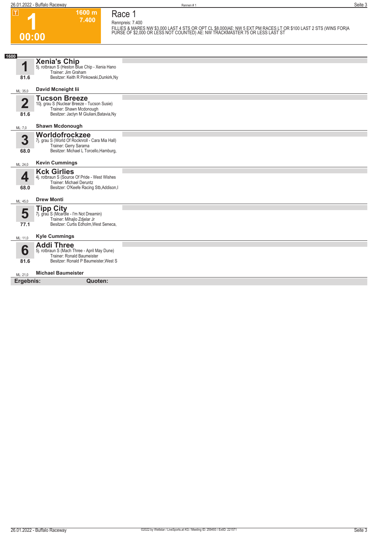**1**

**00:00**

#### **1600 m 7.400 Race 1 Rennpreis: 7.400**

FILLIES & MARES NW \$3,000 LAST 4 STS OR OPT CL \$8,000|AE: NW 5 EXT PM RACES LT OR \$100 LAST 2 STS (WINS FOR|A<br>PURSE OF \$2,000 OR LESS NOT COUNTED) AE: NW TRACKMASTER 75 OR LESS LAST ST

| 1600                   |                                                                                                                                                    |  |
|------------------------|----------------------------------------------------------------------------------------------------------------------------------------------------|--|
| и<br>81.6              | <b>Xenia's Chip</b><br>5j. rotbraun S (Heston Blue Chip - Xenia Hano<br>Trainer: Jim Graham<br>Besitzer: Keith R Pinkowski, Dunkirk, Ny            |  |
| ML: 35,0               | David Mcneight lii                                                                                                                                 |  |
| $\overline{2}$<br>81.6 | <b>Tucson Breeze</b><br>10j. grau S (Nuclear Breeze - Tucson Susie)<br>Trainer: Shawn Mcdonough<br>Besitzer: Jaclyn M Giuliani, Batavia, Ny        |  |
| ML: 7,0                | <b>Shawn Mcdonough</b>                                                                                                                             |  |
| 3<br>68.0              | Worldofrockzee<br>7j. grau S (World Of Rocknroll - Cara Mia Hall)<br>Trainer: Gerry Sarama<br>Besitzer: Michael L Torcello, Hamburg,               |  |
| ML: 24,0               | <b>Kevin Cummings</b>                                                                                                                              |  |
| 4<br>68.0              | <b>Kck Girlies</b><br>4j. rotbraun S (Source Of Pride - West Wishes<br><b>Trainer: Michael Deruntz</b><br>Besitzer: O'Keefe Racing Stb, Addison, I |  |
| ML: 45,0               | <b>Drew Monti</b>                                                                                                                                  |  |
| 5<br>77.1              | <b>Tipp City</b><br>7j. grau S (Mcardle - I'm Not Dreamin)<br>Trainer: Mihajlo Zdjelar Jr<br>Besitzer: Curtis Edholm, West Seneca,                 |  |
| ML: 11,0               | <b>Kyle Cummings</b>                                                                                                                               |  |
| 6<br>81.6              | <b>Addi Three</b><br>5j. rotbraun S (Mach Three - April May Dune)<br>Trainer: Ronald Baumeister<br>Besitzer: Ronald P Baumeister, West S           |  |
| ML: 21,0               | <b>Michael Baumeister</b>                                                                                                                          |  |
| Ergebnis:              | Quoten:                                                                                                                                            |  |
|                        |                                                                                                                                                    |  |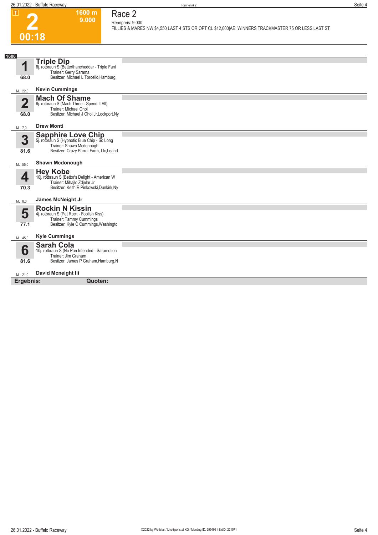

#### **1600 m 9.000 Race 2 Rennpreis: 9.000**

**FILLIES & MARES NW \$4,550 LAST 4 STS OR OPT CL \$12,000|AE: WINNERS TRACKMASTER 75 OR LESS LAST ST** 

| 1600                      |                                                                                                                                          |  |
|---------------------------|------------------------------------------------------------------------------------------------------------------------------------------|--|
| И                         | <b>Triple Dip</b><br>6j. rotbraun S (Betterthancheddar - Triple Fant<br>Trainer: Gerry Sarama                                            |  |
| 68.0                      | Besitzer: Michael L Torcello, Hamburg,                                                                                                   |  |
| ML: 22,0                  | <b>Kevin Cummings</b>                                                                                                                    |  |
| $\mathbf{\Omega}$<br>68.0 | <b>Mach Of Shame</b><br>6j. rotbraun S (Mach Three - Spend It All)<br>Trainer: Michael Ohol<br>Besitzer: Michael J Ohol Jr, Lockport, Ny |  |
| ML: 7,0                   | <b>Drew Monti</b>                                                                                                                        |  |
|                           |                                                                                                                                          |  |
| 3                         | Sapphire Love Chip<br>5j. rotbraun S (Hypnotic Blue Chip - So Long<br>Trainer: Shawn Mcdonough                                           |  |
| 81.6                      | Besitzer: Crazy Parrot Farm, Llc, Leand                                                                                                  |  |
| ML: 55,0                  | <b>Shawn Mcdonough</b>                                                                                                                   |  |
|                           | <b>Hey Kobe</b>                                                                                                                          |  |
| 4                         | 10j. rotbraun S (Bettor's Delight - American W                                                                                           |  |
|                           | Trainer: Mihailo Zdielar Jr<br>Besitzer: Keith R Pinkowski, Dunkirk, Ny                                                                  |  |
| 70.3                      |                                                                                                                                          |  |
| ML: 8,0                   | James McNeight Jr                                                                                                                        |  |
|                           | <b>Rockin N Kissin</b>                                                                                                                   |  |
| 5                         | 4j. rotbraun S (Pet Rock - Foolish Kiss)                                                                                                 |  |
| 77.1                      | Trainer: Tammy Cummings<br>Besitzer: Kyle C Cummings, Washingto                                                                          |  |
|                           |                                                                                                                                          |  |
| ML: 45,0                  | <b>Kyle Cummings</b>                                                                                                                     |  |
|                           | <b>Sarah Cola</b>                                                                                                                        |  |
| 6                         | 10j. rotbraun S (No Pan Intended - Saramotion                                                                                            |  |
| 81.6                      | Trainer: Jim Graham<br>Besitzer: James P Graham, Hamburg, N                                                                              |  |
|                           |                                                                                                                                          |  |
| ML: 21,0                  | David Mcneight lii                                                                                                                       |  |
| Ergebnis:                 | Quoten:                                                                                                                                  |  |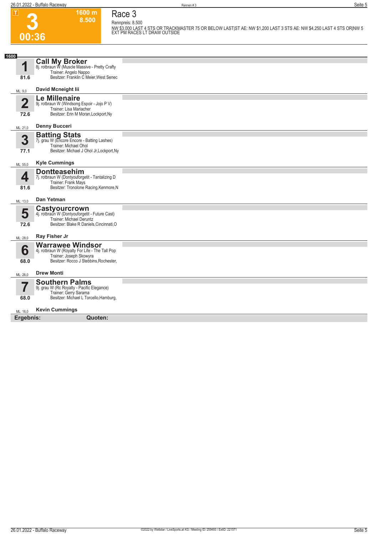**Race 3 Rennpreis: 8.500**

**1600 m 8.500** 

| ட<br>2    | ווו טטט<br>8.500                                                                                                                       | Race o<br>Rennpreis: 8.500                                                                                                                           |
|-----------|----------------------------------------------------------------------------------------------------------------------------------------|------------------------------------------------------------------------------------------------------------------------------------------------------|
|           | 00:36                                                                                                                                  | NW \$3,000 LAST 4 STS OR TRACKMASTER 75 OR BELOW LAST ST AE: NW \$1,200 LAST 3 STS AE: NW \$4,250 LAST 4 STS OR NW 5<br>EXT PM RACES LT DRAW OUTSIDE |
|           |                                                                                                                                        |                                                                                                                                                      |
| 1600      |                                                                                                                                        |                                                                                                                                                      |
| 1         | <b>Call My Broker</b><br>8j. rotbraun W (Muscle Massive - Pretty Crafty                                                                |                                                                                                                                                      |
| 81.6      | Trainer: Angelo Nappo<br>Besitzer: Franklin C Meier, West Senec                                                                        |                                                                                                                                                      |
|           |                                                                                                                                        |                                                                                                                                                      |
| ML: 9,0   | David Mcneight lii                                                                                                                     |                                                                                                                                                      |
| 2<br>72.6 | <b>Le Millenaire</b><br>9j. rotbraun W (Windsong Espoir - Jojo P V)<br>Trainer: Lisa Mariacher<br>Besitzer: Erin M Moran, Lockport, Ny |                                                                                                                                                      |
|           |                                                                                                                                        |                                                                                                                                                      |
| ML: 21,0  | <b>Denny Bucceri</b>                                                                                                                   |                                                                                                                                                      |
|           | <b>Batting Stats</b>                                                                                                                   |                                                                                                                                                      |
| 3         | 7j. grau W (Encore Encore - Batting Lashes)<br>Trainer: Michael Ohol                                                                   |                                                                                                                                                      |
| 77.1      | Besitzer: Michael J Ohol Jr, Lockport, Ny                                                                                              |                                                                                                                                                      |
| ML: 55,0  | <b>Kyle Cummings</b>                                                                                                                   |                                                                                                                                                      |
|           | <b>Dontteasehim</b>                                                                                                                    |                                                                                                                                                      |
| 4         | 7j. rotbraun W (Dontyouforgetit - Tantalizing D<br>Trainer: Frank Mays                                                                 |                                                                                                                                                      |
| 81.6      | Besitzer: Tronolone Racing, Kenmore, N                                                                                                 |                                                                                                                                                      |
| ML: 13,0  | Dan Yetman                                                                                                                             |                                                                                                                                                      |
| 5         | Castyourcrown                                                                                                                          |                                                                                                                                                      |
|           | 4j. rotbraun W (Dontyouforgetit - Future Cast)<br>Trainer: Michael Deruntz                                                             |                                                                                                                                                      |
| 72.6      | Besitzer: Blake R Daniels, Cincinnati, O                                                                                               |                                                                                                                                                      |
| ML: 28,0  | Ray Fisher Jr                                                                                                                          |                                                                                                                                                      |
| 6         | <b>Warrawee Windsor</b><br>4j. rotbraun W (Royalty For Life - The Tall Pop                                                             |                                                                                                                                                      |
|           | Trainer: Joseph Skowyra                                                                                                                |                                                                                                                                                      |
| 68.0      | Besitzer: Rocco J Stebbins, Rochester,                                                                                                 |                                                                                                                                                      |
| ML: 26,0  | <b>Drew Monti</b>                                                                                                                      |                                                                                                                                                      |
| 7         | <b>Southern Palms</b>                                                                                                                  |                                                                                                                                                      |
|           | 9j. grau W (Rc Royalty - Pacific Elegance)<br>Trainer: Gerry Sarama                                                                    |                                                                                                                                                      |
| 68.0      | Besitzer: Michael L Torcello, Hamburg,                                                                                                 |                                                                                                                                                      |
| ML: 16,0  | <b>Kevin Cummings</b>                                                                                                                  |                                                                                                                                                      |
| Ergebnis: | Quoten:                                                                                                                                |                                                                                                                                                      |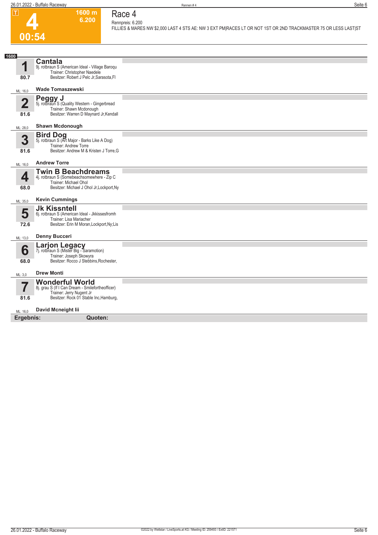**1600 m 6.200** 

**Race 4**



### **Rennpreis: 6.200 FILLIES & MARES NW \$2,000 LAST 4 STS AE: NW 3 EXT PM|RACES LT OR NOT 1ST OR 2ND TRACKMASTER 75 OR LESS LAST|ST**

| <b>Cantala</b><br>4<br>9j. rotbraun S (American Ideal - Village Baroqu<br>Trainer: Christopher Naedele<br>Besitzer: Robert J Pelc Jr, Sarasota, FI<br>80.7<br>Wade Tomaszewski<br>ML: 16,0<br>Peggy J<br>5j. rotbraun S (Quality Western - Gingerbread<br>$\overline{2}$<br>Trainer: Shawn Mcdonough<br>Besitzer: Warren D Maynard Jr, Kendall<br>81.6<br><b>Shawn Mcdonough</b><br>ML: 28,0<br><b>Bird Dog</b><br>5j. rotbraun S (Art Major - Barks Like A Dog)<br>3<br>Trainer: Andrew Torre<br>Besitzer: Andrew M & Kristen J Torre, G<br>81.6<br><b>Andrew Torre</b><br>ML: 16,0<br><b>Twin B Beachdreams</b><br>4<br>4j. rotbraun S (Somebeachsomewhere - Zip C<br>Trainer: Michael Ohol<br>Besitzer: Michael J Ohol Jr, Lockport, Ny<br>68.0<br><b>Kevin Cummings</b><br>ML: 35,0<br><b>Jk Kissntell</b><br>5<br>6j. rotbraun S (American Ideal - Jkkissesfromh<br>Trainer: Lisa Mariacher<br>Besitzer: Erin M Moran, Lockport, Ny; Lis<br>72.6<br><b>Denny Bucceri</b><br>ML: 13,0<br><b>Larjon Legacy</b><br>7j. rotbraun S (Mister Big - Saramotion)<br>6<br>Trainer: Joseph Skowyra<br>Besitzer: Rocco J Stebbins, Rochester,<br>68.0<br><b>Drew Monti</b><br>ML: 3,0<br>Wonderful World<br>8j. grau S (If I Can Dream - Smilefortheofficer)<br>7<br>Trainer: Jerry Nugent Jr<br>Besitzer: Rock 01 Stable Inc, Hamburg,<br>81.6<br>David Mcneight lii<br>ML: 16.0<br>Ergebnis:<br>Quoten: | 1600 |  |
|-----------------------------------------------------------------------------------------------------------------------------------------------------------------------------------------------------------------------------------------------------------------------------------------------------------------------------------------------------------------------------------------------------------------------------------------------------------------------------------------------------------------------------------------------------------------------------------------------------------------------------------------------------------------------------------------------------------------------------------------------------------------------------------------------------------------------------------------------------------------------------------------------------------------------------------------------------------------------------------------------------------------------------------------------------------------------------------------------------------------------------------------------------------------------------------------------------------------------------------------------------------------------------------------------------------------------------------------------------------------------------------------------------|------|--|
|                                                                                                                                                                                                                                                                                                                                                                                                                                                                                                                                                                                                                                                                                                                                                                                                                                                                                                                                                                                                                                                                                                                                                                                                                                                                                                                                                                                                     |      |  |
|                                                                                                                                                                                                                                                                                                                                                                                                                                                                                                                                                                                                                                                                                                                                                                                                                                                                                                                                                                                                                                                                                                                                                                                                                                                                                                                                                                                                     |      |  |
|                                                                                                                                                                                                                                                                                                                                                                                                                                                                                                                                                                                                                                                                                                                                                                                                                                                                                                                                                                                                                                                                                                                                                                                                                                                                                                                                                                                                     |      |  |
|                                                                                                                                                                                                                                                                                                                                                                                                                                                                                                                                                                                                                                                                                                                                                                                                                                                                                                                                                                                                                                                                                                                                                                                                                                                                                                                                                                                                     |      |  |
|                                                                                                                                                                                                                                                                                                                                                                                                                                                                                                                                                                                                                                                                                                                                                                                                                                                                                                                                                                                                                                                                                                                                                                                                                                                                                                                                                                                                     |      |  |
|                                                                                                                                                                                                                                                                                                                                                                                                                                                                                                                                                                                                                                                                                                                                                                                                                                                                                                                                                                                                                                                                                                                                                                                                                                                                                                                                                                                                     |      |  |
|                                                                                                                                                                                                                                                                                                                                                                                                                                                                                                                                                                                                                                                                                                                                                                                                                                                                                                                                                                                                                                                                                                                                                                                                                                                                                                                                                                                                     |      |  |
|                                                                                                                                                                                                                                                                                                                                                                                                                                                                                                                                                                                                                                                                                                                                                                                                                                                                                                                                                                                                                                                                                                                                                                                                                                                                                                                                                                                                     |      |  |
|                                                                                                                                                                                                                                                                                                                                                                                                                                                                                                                                                                                                                                                                                                                                                                                                                                                                                                                                                                                                                                                                                                                                                                                                                                                                                                                                                                                                     |      |  |
|                                                                                                                                                                                                                                                                                                                                                                                                                                                                                                                                                                                                                                                                                                                                                                                                                                                                                                                                                                                                                                                                                                                                                                                                                                                                                                                                                                                                     |      |  |
|                                                                                                                                                                                                                                                                                                                                                                                                                                                                                                                                                                                                                                                                                                                                                                                                                                                                                                                                                                                                                                                                                                                                                                                                                                                                                                                                                                                                     |      |  |
|                                                                                                                                                                                                                                                                                                                                                                                                                                                                                                                                                                                                                                                                                                                                                                                                                                                                                                                                                                                                                                                                                                                                                                                                                                                                                                                                                                                                     |      |  |
|                                                                                                                                                                                                                                                                                                                                                                                                                                                                                                                                                                                                                                                                                                                                                                                                                                                                                                                                                                                                                                                                                                                                                                                                                                                                                                                                                                                                     |      |  |
|                                                                                                                                                                                                                                                                                                                                                                                                                                                                                                                                                                                                                                                                                                                                                                                                                                                                                                                                                                                                                                                                                                                                                                                                                                                                                                                                                                                                     |      |  |
|                                                                                                                                                                                                                                                                                                                                                                                                                                                                                                                                                                                                                                                                                                                                                                                                                                                                                                                                                                                                                                                                                                                                                                                                                                                                                                                                                                                                     |      |  |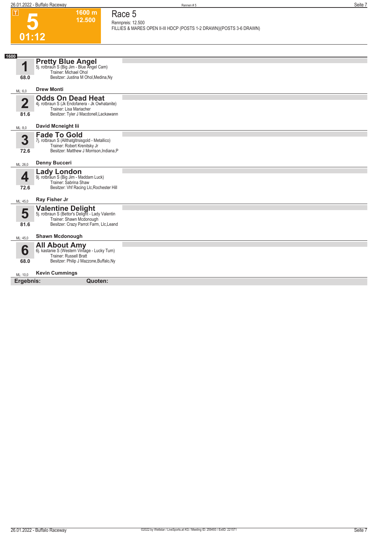**1600 m 12.500**  **Race 5 Rennpreis: 12.500**

| ட                      | 1999 H.L<br>12.500                                                                                                                                  | Race o<br>Rennpreis: 12.500                                          |
|------------------------|-----------------------------------------------------------------------------------------------------------------------------------------------------|----------------------------------------------------------------------|
|                        |                                                                                                                                                     | FILLIES & MARES OPEN II-III HDCP (POSTS 1-2 DRAWN) (POSTS 3-6 DRAWN) |
|                        | 01:12                                                                                                                                               |                                                                      |
|                        |                                                                                                                                                     |                                                                      |
| 1600                   |                                                                                                                                                     |                                                                      |
| и                      | <b>Pretty Blue Angel</b><br>5j. rotbraun S (Big Jim - Blue Angel Cam)                                                                               |                                                                      |
| 68.0                   | Trainer: Michael Ohol<br>Besitzer: Justina M Ohol, Medina, Ny                                                                                       |                                                                      |
| ML: 6,0                | <b>Drew Monti</b>                                                                                                                                   |                                                                      |
| $\overline{2}$<br>81.6 | <b>Odds On Dead Heat</b><br>4j. rotbraun S (Jk Endofanera - Jk Owhatanite)<br>Trainer: Lisa Mariacher<br>Besitzer: Tyler J Macdonell, Lackawann     |                                                                      |
| ML: 8,0                | David Mcneight lii                                                                                                                                  |                                                                      |
| 3<br>72.6              | <b>Fade To Gold</b><br>7j. rotbraun S (Allthatgltrsisgold - Metallico)<br>Trainer: Robert Krenitsky Jr<br>Besitzer: Matthew J Morrison, Indiana, P  |                                                                      |
| ML: 26,0               | <b>Denny Bucceri</b>                                                                                                                                |                                                                      |
| 4<br>72.6              | <b>Lady London</b><br>9j. rotbraun S (Big Jim - Maddam Luck)<br>Trainer: Sabrina Shaw<br>Besitzer: Vhf Racing Llc, Rochester Hill                   |                                                                      |
| ML: 45,0               | Ray Fisher Jr                                                                                                                                       |                                                                      |
| 5<br>81.6              | <b>Valentine Delight</b><br>5j. rotbraun S (Bettor's Delight - Lady Valentin<br>Trainer: Shawn Mcdonough<br>Besitzer: Crazy Parrot Farm, Llc, Leand |                                                                      |
| ML: 45,0               | <b>Shawn Mcdonough</b>                                                                                                                              |                                                                      |
| 6<br>68.0              | All About Amy<br>6j. kastanie S (Western Vintage - Lucky Turn)<br><b>Trainer: Russell Bratt</b><br>Besitzer: Philip J Mazzone, Buffalo, Ny          |                                                                      |
| ML: 10,0               | <b>Kevin Cummings</b>                                                                                                                               |                                                                      |
| Ergebnis:              | Quoten:                                                                                                                                             |                                                                      |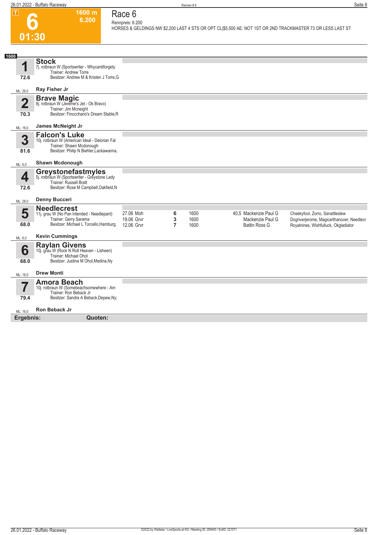

#### **1600 m 6.200 Race 6 Rennpreis: 6.200**

**HORSES & GELDINGS NW \$2,200 LAST 4 STS OR OPT CL|\$5,500 AE: NOT 1ST OR 2ND TRACKMASTER 73 OR LESS LAST ST** 

| 1600                            |                                                                                                                                                              |                                       |             |                      |                                                                   |                                                                                                                      |
|---------------------------------|--------------------------------------------------------------------------------------------------------------------------------------------------------------|---------------------------------------|-------------|----------------------|-------------------------------------------------------------------|----------------------------------------------------------------------------------------------------------------------|
| 4<br>72.6                       | <b>Stock</b><br>7j. rotbraun W (Sportswriter - Whycantiforgety<br>Trainer: Andrew Torre<br>Besitzer: Andrew M & Kristen J Torre, G                           |                                       |             |                      |                                                                   |                                                                                                                      |
| ML: 26,0                        | Ray Fisher Jr                                                                                                                                                |                                       |             |                      |                                                                   |                                                                                                                      |
| $\overline{\mathbf{2}}$<br>70.3 | <b>Brave Magic</b><br>8j. rotbraun W (Jereme's Jet - Ok Bravo)<br>Trainer: Jim Mcneight<br>Besitzer: Finocchario's Dream Stable, R                           |                                       |             |                      |                                                                   |                                                                                                                      |
| ML: 16,0                        | James McNeight Jr                                                                                                                                            |                                       |             |                      |                                                                   |                                                                                                                      |
| 3<br>81.6                       | <b>Falcon's Luke</b><br>10j. rotbraun W (American Ideal - Delorian Fal<br>Trainer: Shawn Mcdonough<br>Besitzer: Philip N Biehler, Lackawanna,                |                                       |             |                      |                                                                   |                                                                                                                      |
| ML: 6,0                         | <b>Shawn Mcdonough</b>                                                                                                                                       |                                       |             |                      |                                                                   |                                                                                                                      |
| 4<br>72.6                       | Greystonefastmyles<br>5j. rotbraun W (Sportswriter - Greystone Lady<br><b>Trainer: Russell Bratt</b><br>Besitzer: Rose M Campbell, Oakfield, N               |                                       |             |                      |                                                                   |                                                                                                                      |
| ML: 28,0                        | <b>Denny Bucceri</b>                                                                                                                                         |                                       |             |                      |                                                                   |                                                                                                                      |
| 5<br>68.0                       | <b>Needlecrest</b><br>11j. grau W (No Pan Intended - Needlepant)<br>Trainer: Gerry Sarama<br>Besitzer: Michael L Torcello, Hamburg,<br><b>Kevin Cummings</b> | 27.06 Moh<br>19.06 Grvr<br>12.06 Grvr | 6<br>3<br>7 | 1600<br>1600<br>1600 | 40,5 Mackenzie Paul G<br>Mackenzie Paul G<br><b>Battin Ross G</b> | Cheekyfool, Zorro, Sanattleslew<br>Dogriverjerome, Magicarthanover, Needlecr<br>Royalnines, Wishfulluck, Okgladiator |
| ML: 6,0                         |                                                                                                                                                              |                                       |             |                      |                                                                   |                                                                                                                      |
| 6<br>68.0                       | Raylan Givens<br>10j. grau W (Rock N Roll Heaven - Lisheen)<br>Trainer: Michael Ohol<br>Besitzer: Justina M Ohol, Medina, Ny                                 |                                       |             |                      |                                                                   |                                                                                                                      |
| ML: 16,0                        | <b>Drew Monti</b>                                                                                                                                            |                                       |             |                      |                                                                   |                                                                                                                      |
| 7<br>79.4                       | <b>Amora Beach</b><br>10j. rotbraun W (Somebeachsomewhere - Am<br>Trainer: Ron Beback Jr<br>Besitzer: Sandra A Beback, Depew, Ny;                            |                                       |             |                      |                                                                   |                                                                                                                      |
| ML: 16.0                        | <b>Ron Beback Jr</b>                                                                                                                                         |                                       |             |                      |                                                                   |                                                                                                                      |
| Ergebnis:                       | Quoten:                                                                                                                                                      |                                       |             |                      |                                                                   |                                                                                                                      |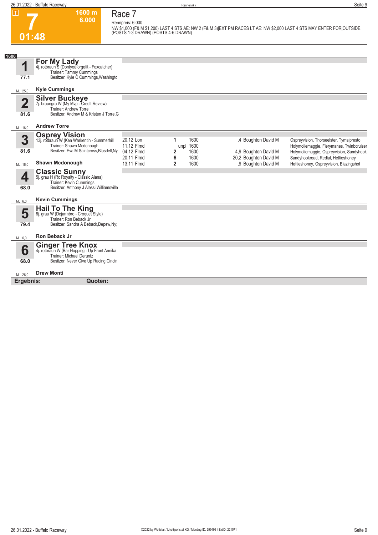**7**

**Race 7 Rennpreis: 6.000**

**1600 m 6.000** 

|                         | DELILIDI EIS. U.UUU<br>NW \$1,000 (F& M \$1,200) LAST 4 STS AE: NW 2 (F& M 3) EXT PM RACES LT AE: NW \$2,000 LAST 4 STS MAY ENTER FOR OUTSIDE<br>(POSTS 1-3 DRAWN) (POSTS 4-6 DRAWN) |                                       |                                                       |                                                                      |                                                                                                                            |  |  |
|-------------------------|--------------------------------------------------------------------------------------------------------------------------------------------------------------------------------------|---------------------------------------|-------------------------------------------------------|----------------------------------------------------------------------|----------------------------------------------------------------------------------------------------------------------------|--|--|
|                         | 01:48                                                                                                                                                                                |                                       |                                                       |                                                                      |                                                                                                                            |  |  |
| 1600                    |                                                                                                                                                                                      |                                       |                                                       |                                                                      |                                                                                                                            |  |  |
| 1<br>77.1               | For My Lady<br>4j. rotbraun <sup>5</sup> (Dontyouforgetit - Foxcatcher)<br>Trainer: Tammy Cummings<br>Besitzer: Kyle C Cummings, Washingto                                           |                                       |                                                       |                                                                      |                                                                                                                            |  |  |
| ML: 25,0                | <b>Kyle Cummings</b>                                                                                                                                                                 |                                       |                                                       |                                                                      |                                                                                                                            |  |  |
| $\overline{\mathbf{2}}$ | Silver Buckeye<br>7j. braungra W (My Mvp - Credit Review)<br>Trainer: Andrew Torre                                                                                                   |                                       |                                                       |                                                                      |                                                                                                                            |  |  |
| 81.6                    | Besitzer: Andrew M & Kristen J Torre, G                                                                                                                                              |                                       |                                                       |                                                                      |                                                                                                                            |  |  |
| ML: 16,0                | <b>Andrew Torre</b>                                                                                                                                                                  |                                       |                                                       |                                                                      |                                                                                                                            |  |  |
| 3<br>81.6               | <b>Osprey Vision</b><br>13j. rotbraun W (Ken Warkentin - Summerhill<br>Trainer: Shawn Mcdonough<br>Besitzer: Eva M Saintcross, Blasdell, Ny                                          | 20.12 Lon<br>11.12 Flmd<br>04.12 Flmd | 1600<br>1<br>unpl 1600<br>1600                        | ,4 Boughton David M                                                  | Ospreyvision, Thorseelster, Tymalpresto<br>Holymoliemaggie, Fierymanes, Twinbcruiser                                       |  |  |
| ML: 16,0                | <b>Shawn Mcdonough</b>                                                                                                                                                               | 20.11 Flmd<br>13.11 Flmd              | $\overline{2}$<br>6<br>1600<br>$\overline{2}$<br>1600 | 4,9 Boughton David M<br>20,2 Boughton David M<br>,9 Boughton David M | Holymoliemaggie, Ospreyvision, Sandyhook<br>Sandyhookroad, Redial, Hettieshoney<br>Hettieshoney, Ospreyvision, Blazingshot |  |  |
| 4<br>68.0               | <b>Classic Sunny</b><br>5j. grau H (Rc Royalty - Classic Alana)<br>Trainer: Kevin Cummings<br>Besitzer: Anthony J Alessi, Williamsville                                              |                                       |                                                       |                                                                      |                                                                                                                            |  |  |
| ML: 6,0                 | <b>Kevin Cummings</b>                                                                                                                                                                |                                       |                                                       |                                                                      |                                                                                                                            |  |  |
| 5<br>79.4               | <b>Hail To The King</b><br>8j. grau W (Dejarmbro - Croquet Style)<br>Trainer: Ron Beback Jr<br>Besitzer: Sandra A Beback, Depew, Ny;                                                 |                                       |                                                       |                                                                      |                                                                                                                            |  |  |
| ML: 6.0                 | Ron Beback Jr                                                                                                                                                                        |                                       |                                                       |                                                                      |                                                                                                                            |  |  |
| 6<br>68.0               | <b>Ginger Tree Knox</b><br>4j. rotbraun W (Bar Hopping - Up Front Annika<br>Trainer: Michael Deruntz<br>Besitzer: Never Give Up Racing, Cincin                                       |                                       |                                                       |                                                                      |                                                                                                                            |  |  |

ML: 26,0 **Drew Monti**

**Ergebnis: Quoten:**